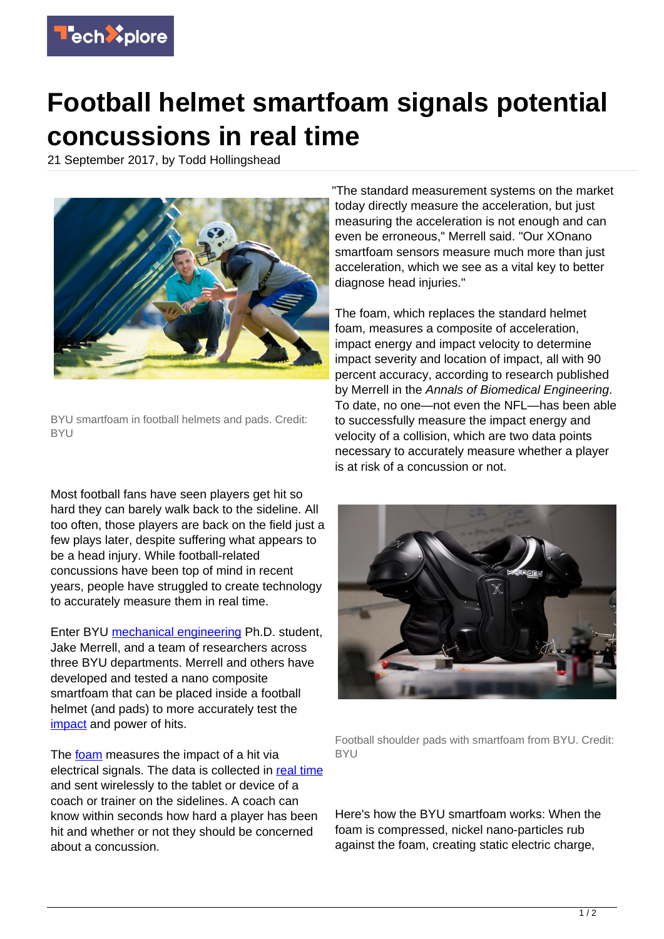

## **Football helmet smartfoam signals potential concussions in real time**

21 September 2017, by Todd Hollingshead



BYU smartfoam in football helmets and pads. Credit: BYU

Most football fans have seen players get hit so hard they can barely walk back to the sideline. All too often, those players are back on the field just a few plays later, despite suffering what appears to be a head injury. While football-related concussions have been top of mind in recent years, people have struggled to create technology to accurately measure them in real time.

Enter BYU [mechanical engineering](https://techxplore.com/tags/mechanical+engineering/) Ph.D. student, Jake Merrell, and a team of researchers across three BYU departments. Merrell and others have developed and tested a nano composite smartfoam that can be placed inside a football helmet (and pads) to more accurately test the [impact](https://techxplore.com/tags/impact/) and power of hits.

The [foam](https://techxplore.com/tags/foam/) measures the impact of a hit via electrical signals. The data is collected in [real time](https://techxplore.com/tags/real+time/) and sent wirelessly to the tablet or device of a coach or trainer on the sidelines. A coach can know within seconds how hard a player has been hit and whether or not they should be concerned about a concussion.

"The standard measurement systems on the market today directly measure the acceleration, but just measuring the acceleration is not enough and can even be erroneous," Merrell said. "Our XOnano smartfoam sensors measure much more than just acceleration, which we see as a vital key to better diagnose head injuries."

The foam, which replaces the standard helmet foam, measures a composite of acceleration, impact energy and impact velocity to determine impact severity and location of impact, all with 90 percent accuracy, according to research published by Merrell in the Annals of Biomedical Engineering. To date, no one—not even the NFL—has been able to successfully measure the impact energy and velocity of a collision, which are two data points necessary to accurately measure whether a player is at risk of a concussion or not.



Football shoulder pads with smartfoam from BYU. Credit: **BYU** 

Here's how the BYU smartfoam works: When the foam is compressed, nickel nano-particles rub against the foam, creating static electric charge,